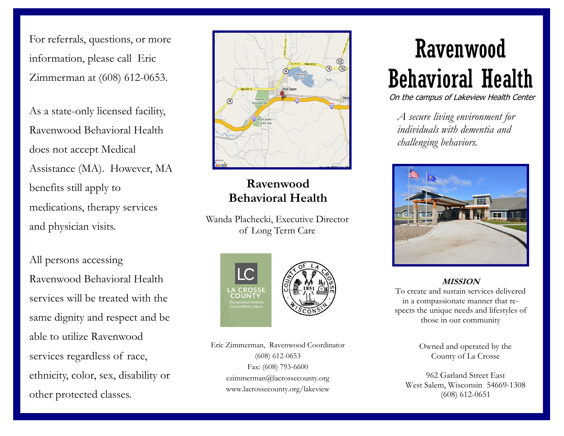For referrals, questions, or more information, please call Eric Zimmerman at (608) 612-0653.

As a state-only licensed facility, Ravenwood Behavioral Health does not accept Medical Assistance (MA). However, MA benefits still apply to medications, therapy services and physician visits.

All persons accessing Ravenwood Behavioral Health services will be treated with the same dignity and respect and be able to utilize Ravenwood services regardless of race, ethnicity, color, sex, disability or other protected classes.



## **Ravenwood Behavioral Health**

Wanda Plachecki, Executive Director of Long Term Care





Eric Zimmerman, Ravenwood Coordinator (608) 612-0653 Fax: (608) 793-6600 ezimmerman@lacrossecounty.org www.lacrossecounty.org/lakeview

# Ravenwood Behavioral Health

On the campus of Lakeview Health Center

*A secure living environment for individuals with dementia and challenging behaviors.*



#### **MISSION**

To create and sustain services delivered in a compassionate manner that respects the unique needs and lifestyles of those in our community

> Owned and operated by the County of La Crosse

962 Garland Street East West Salem, Wisconsin 54669-1308 (608) 612-0651